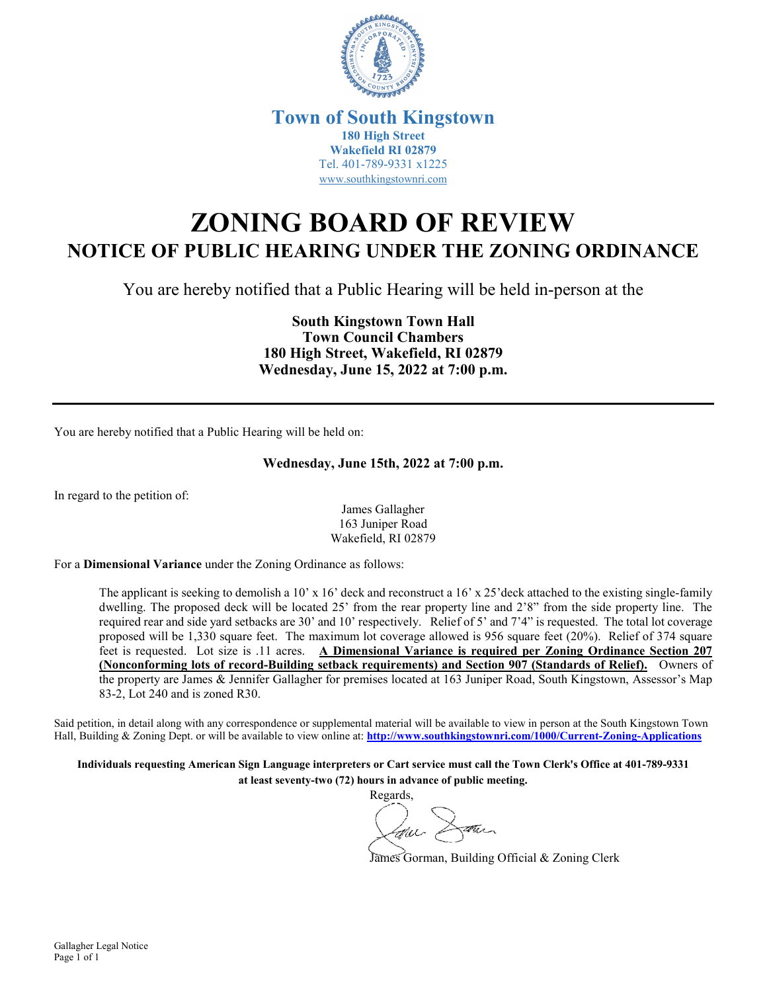

## **Town of South Kingstown 180 High Street Wakefield RI 02879** Tel. 401-789-9331 x1225 [www.southkingstownri.com](http://www.southkingstownri.com/)

## **ZONING BOARD OF REVIEW NOTICE OF PUBLIC HEARING UNDER THE ZONING ORDINANCE**

You are hereby notified that a Public Hearing will be held in-person at the

**South Kingstown Town Hall Town Council Chambers 180 High Street, Wakefield, RI 02879 Wednesday, June 15, 2022 at 7:00 p.m.** 

You are hereby notified that a Public Hearing will be held on:

## **Wednesday, June 15th, 2022 at 7:00 p.m.**

In regard to the petition of:

James Gallagher 163 Juniper Road Wakefield, RI 02879

For a **Dimensional Variance** under the Zoning Ordinance as follows:

The applicant is seeking to demolish a 10' x 16' deck and reconstruct a 16' x 25'deck attached to the existing single-family dwelling. The proposed deck will be located 25' from the rear property line and 2'8" from the side property line. The required rear and side yard setbacks are 30' and 10' respectively. Relief of 5' and 7'4" is requested. The total lot coverage proposed will be 1,330 square feet. The maximum lot coverage allowed is 956 square feet (20%). Relief of 374 square feet is requested. Lot size is .11 acres. **A Dimensional Variance is required per Zoning Ordinance Section 207 (Nonconforming lots of record-Building setback requirements) and Section 907 (Standards of Relief).** Owners of the property are James & Jennifer Gallagher for premises located at 163 Juniper Road, South Kingstown, Assessor's Map 83-2, Lot 240 and is zoned R30.

Said petition, in detail along with any correspondence or supplemental material will be available to view in person at the South Kingstown Town Hall, Building & Zoning Dept. or will be available to view online at: **<http://www.southkingstownri.com/1000/Current-Zoning-Applications>**

**Individuals requesting American Sign Language interpreters or Cart service must call the Town Clerk's Office at 401-789-9331 at least seventy-two (72) hours in advance of public meeting.** 

Regards,

James Gorman, Building Official & Zoning Clerk